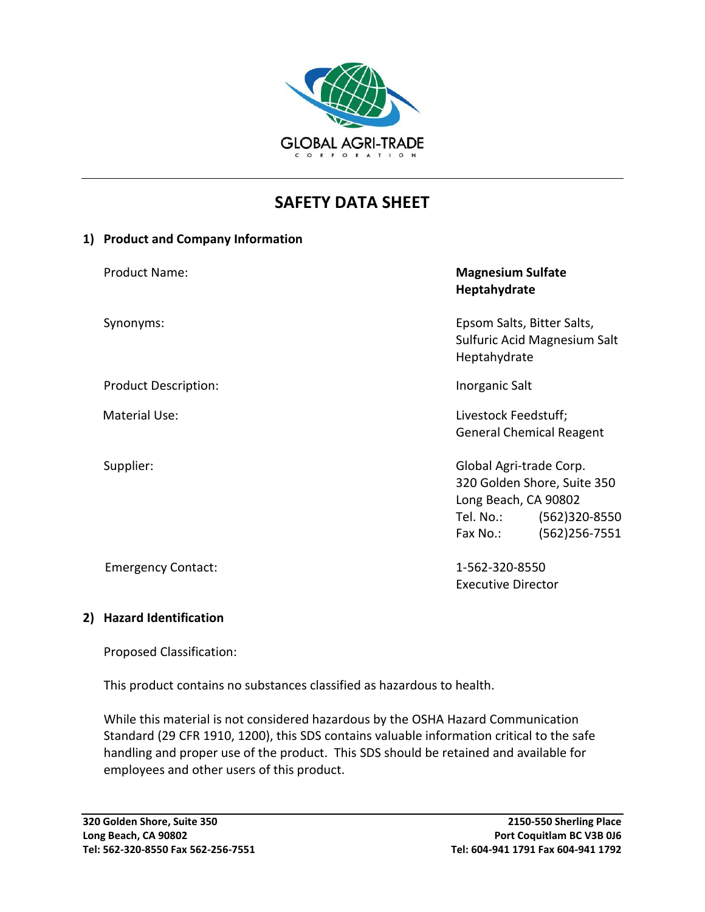

# **SAFETY DATA SHEET**

#### **1) Product and Company Information**

| <b>Product Name:</b>        | <b>Magnesium Sulfate</b><br>Heptahydrate                                                                                                        |
|-----------------------------|-------------------------------------------------------------------------------------------------------------------------------------------------|
| Synonyms:                   | Epsom Salts, Bitter Salts,<br>Sulfuric Acid Magnesium Salt<br>Heptahydrate                                                                      |
| <b>Product Description:</b> | Inorganic Salt                                                                                                                                  |
| <b>Material Use:</b>        | Livestock Feedstuff;<br><b>General Chemical Reagent</b>                                                                                         |
| Supplier:                   | Global Agri-trade Corp.<br>320 Golden Shore, Suite 350<br>Long Beach, CA 90802<br>Tel. No.:<br>$(562)320-8550$<br>$(562)256 - 7551$<br>Fax No.: |
| <b>Emergency Contact:</b>   | 1-562-320-8550<br><b>Executive Director</b>                                                                                                     |

## **2) Hazard Identification**

Proposed Classification:

This product contains no substances classified as hazardous to health.

While this material is not considered hazardous by the OSHA Hazard Communication Standard (29 CFR 1910, 1200), this SDS contains valuable information critical to the safe handling and proper use of the product. This SDS should be retained and available for employees and other users of this product.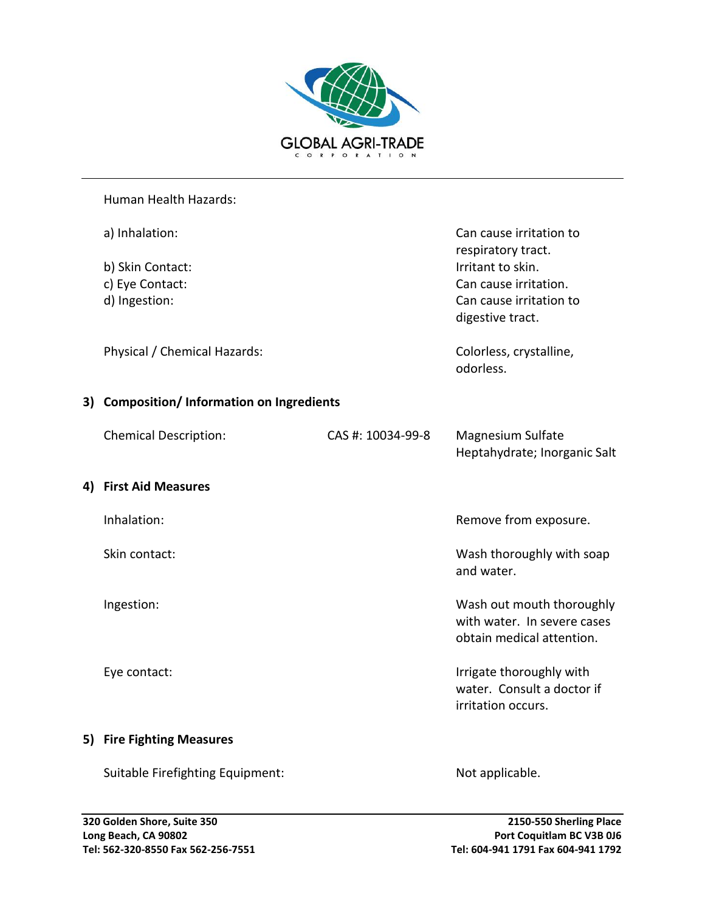

#### Human Health Hazards:

| a) Inhalation:                             |                   |                                                                                       |
|--------------------------------------------|-------------------|---------------------------------------------------------------------------------------|
| b) Skin Contact:                           |                   | respiratory tract.<br>Irritant to skin.                                               |
| c) Eye Contact:                            |                   | Can cause irritation.                                                                 |
| d) Ingestion:                              |                   | Can cause irritation to<br>digestive tract.                                           |
| Physical / Chemical Hazards:               |                   | Colorless, crystalline,<br>odorless.                                                  |
| 3) Composition/ Information on Ingredients |                   |                                                                                       |
| <b>Chemical Description:</b>               | CAS #: 10034-99-8 | Magnesium Sulfate<br>Heptahydrate; Inorganic Salt                                     |
| 4) First Aid Measures                      |                   |                                                                                       |
| Inhalation:                                |                   | Remove from exposure.                                                                 |
| Skin contact:                              |                   | Wash thoroughly with soap<br>and water.                                               |
| Ingestion:                                 |                   | Wash out mouth thoroughly<br>with water. In severe cases<br>obtain medical attention. |
| Eye contact:                               |                   | Irrigate thoroughly with<br>water. Consult a doctor if<br>irritation occurs.          |
| 5) Fire Fighting Measures                  |                   |                                                                                       |
| Suitable Firefighting Equipment:           |                   | Not applicable.                                                                       |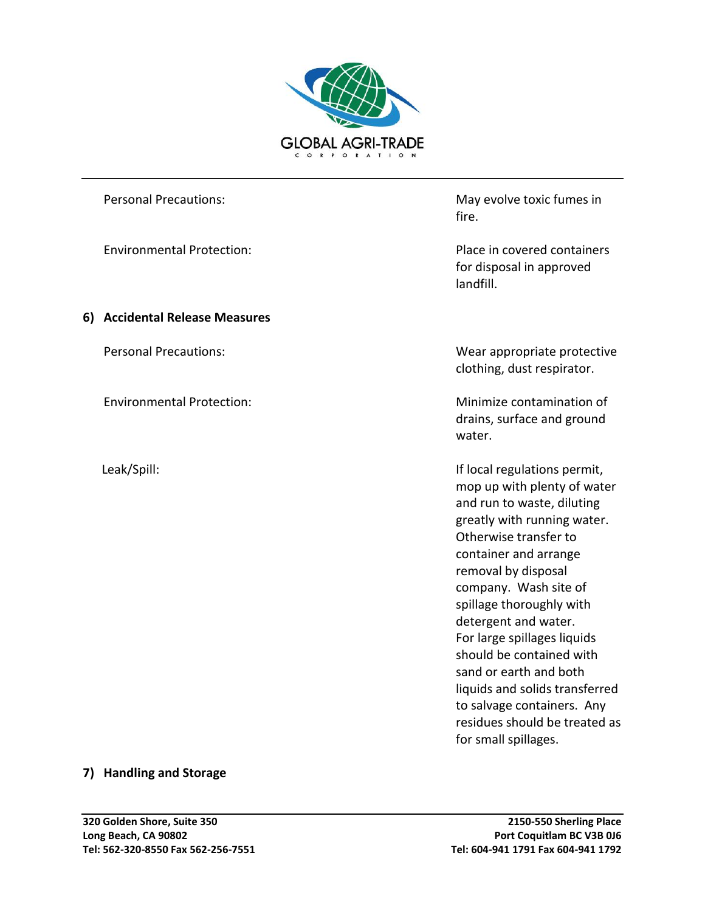

#### **6) Accidental Release Measures**

Personal Precautions: May evolve toxic fumes in fire.

Environmental Protection: Place in covered containers for disposal in approved landfill.

Personal Precautions: Wear appropriate protective clothing, dust respirator.

Environmental Protection: Minimize contamination of drains, surface and ground water.

 Leak/Spill: If local regulations permit, mop up with plenty of water and run to waste, diluting greatly with running water. Otherwise transfer to container and arrange removal by disposal company. Wash site of spillage thoroughly with detergent and water. For large spillages liquids should be contained with sand or earth and both liquids and solids transferred to salvage containers. Any residues should be treated as for small spillages.

#### **7) Handling and Storage**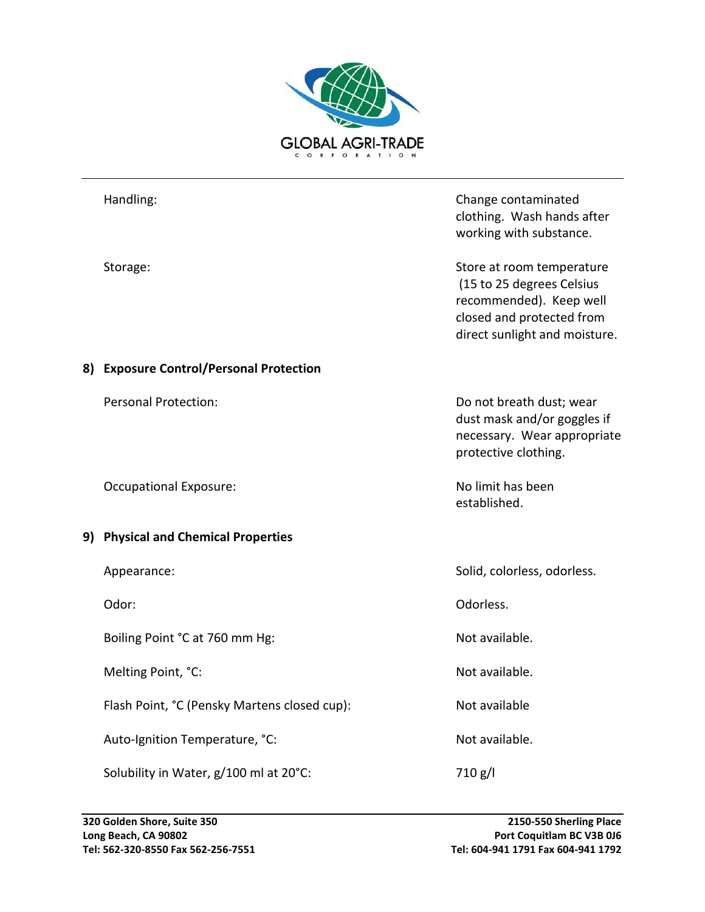

|    | Handling:                                    | Change contaminated<br>clothing. Wash hands after<br>working with substance.                                                                    |
|----|----------------------------------------------|-------------------------------------------------------------------------------------------------------------------------------------------------|
|    | Storage:                                     | Store at room temperature<br>(15 to 25 degrees Celsius<br>recommended). Keep well<br>closed and protected from<br>direct sunlight and moisture. |
| 8) | <b>Exposure Control/Personal Protection</b>  |                                                                                                                                                 |
|    | <b>Personal Protection:</b>                  | Do not breath dust; wear<br>dust mask and/or goggles if<br>necessary. Wear appropriate<br>protective clothing.                                  |
|    | <b>Occupational Exposure:</b>                | No limit has been<br>established.                                                                                                               |
| 9) | <b>Physical and Chemical Properties</b>      |                                                                                                                                                 |
|    | Appearance:                                  | Solid, colorless, odorless.                                                                                                                     |
|    | Odor:                                        | Odorless.                                                                                                                                       |
|    | Boiling Point °C at 760 mm Hg:               | Not available.                                                                                                                                  |
|    | Melting Point, °C:                           | Not available.                                                                                                                                  |
|    | Flash Point, °C (Pensky Martens closed cup): | Not available                                                                                                                                   |
|    | Auto-Ignition Temperature, °C:               | Not available.                                                                                                                                  |
|    | Solubility in Water, g/100 ml at 20°C:       | 710 g/l                                                                                                                                         |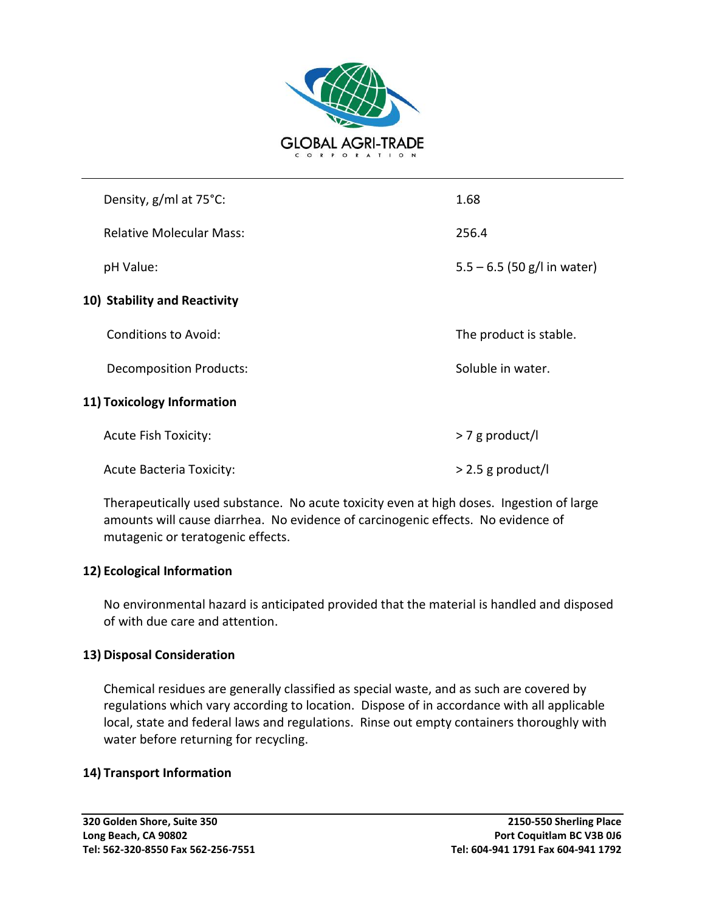

|                              | Density, g/ml at 75°C:          | 1.68                          |  |  |  |
|------------------------------|---------------------------------|-------------------------------|--|--|--|
|                              | <b>Relative Molecular Mass:</b> | 256.4                         |  |  |  |
|                              | pH Value:                       | $5.5 - 6.5$ (50 g/l in water) |  |  |  |
| 10) Stability and Reactivity |                                 |                               |  |  |  |
|                              | Conditions to Avoid:            | The product is stable.        |  |  |  |
|                              | <b>Decomposition Products:</b>  | Soluble in water.             |  |  |  |
| 11) Toxicology Information   |                                 |                               |  |  |  |
|                              | <b>Acute Fish Toxicity:</b>     | $> 7$ g product/l             |  |  |  |
|                              | <b>Acute Bacteria Toxicity:</b> | $>$ 2.5 g product/l           |  |  |  |

Therapeutically used substance. No acute toxicity even at high doses. Ingestion of large amounts will cause diarrhea. No evidence of carcinogenic effects. No evidence of mutagenic or teratogenic effects.

## **12) Ecological Information**

No environmental hazard is anticipated provided that the material is handled and disposed of with due care and attention.

## **13) Disposal Consideration**

Chemical residues are generally classified as special waste, and as such are covered by regulations which vary according to location. Dispose of in accordance with all applicable local, state and federal laws and regulations. Rinse out empty containers thoroughly with water before returning for recycling.

## **14) Transport Information**